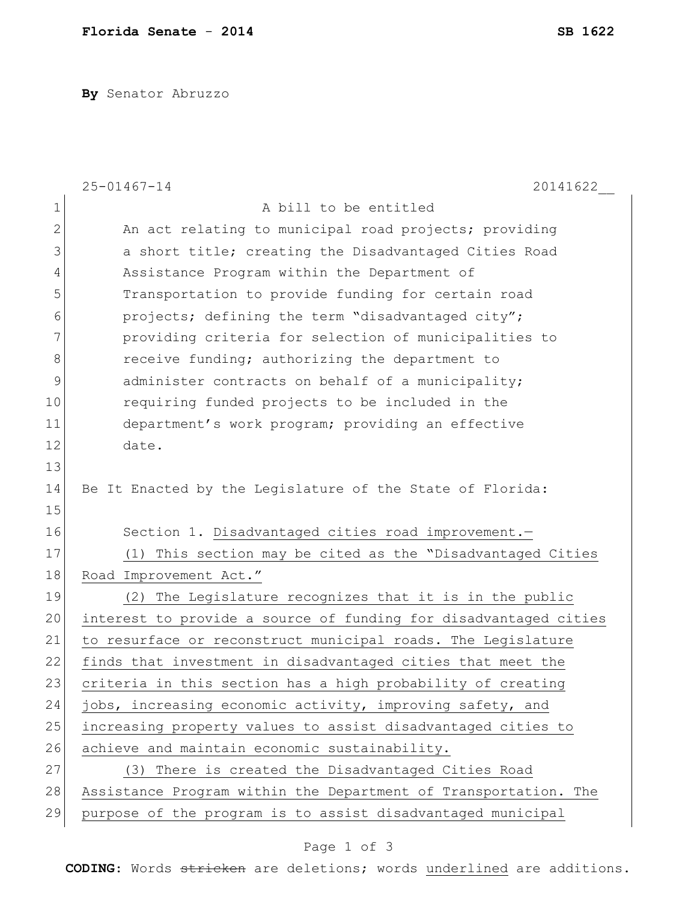**By** Senator Abruzzo

|                | 20141622<br>$25 - 01467 - 14$                                    |
|----------------|------------------------------------------------------------------|
| $\mathbf 1$    | A bill to be entitled                                            |
| $\overline{2}$ | An act relating to municipal road projects; providing            |
| 3              | a short title; creating the Disadvantaged Cities Road            |
| 4              | Assistance Program within the Department of                      |
| 5              | Transportation to provide funding for certain road               |
| 6              | projects; defining the term "disadvantaged city";                |
| 7              | providing criteria for selection of municipalities to            |
| 8              | receive funding; authorizing the department to                   |
| 9              | administer contracts on behalf of a municipality;                |
| 10             | requiring funded projects to be included in the                  |
| 11             | department's work program; providing an effective                |
| 12             | date.                                                            |
| 13             |                                                                  |
| 14             | Be It Enacted by the Legislature of the State of Florida:        |
| 15             |                                                                  |
| 16             | Section 1. Disadvantaged cities road improvement.-               |
| 17             | (1) This section may be cited as the "Disadvantaged Cities       |
| 18             | Road Improvement Act."                                           |
| 19             | (2) The Legislature recognizes that it is in the public          |
| 20             | interest to provide a source of funding for disadvantaged cities |
| 21             | to resurface or reconstruct municipal roads. The Legislature     |
| 22             | finds that investment in disadvantaged cities that meet the      |
| 23             | criteria in this section has a high probability of creating      |
| 24             | jobs, increasing economic activity, improving safety, and        |
| 25             | increasing property values to assist disadvantaged cities to     |
| 26             | achieve and maintain economic sustainability.                    |
| 27             | (3) There is created the Disadvantaged Cities Road               |
| 28             | Assistance Program within the Department of Transportation. The  |
| 29             | purpose of the program is to assist disadvantaged municipal      |

## Page 1 of 3

**CODING**: Words stricken are deletions; words underlined are additions.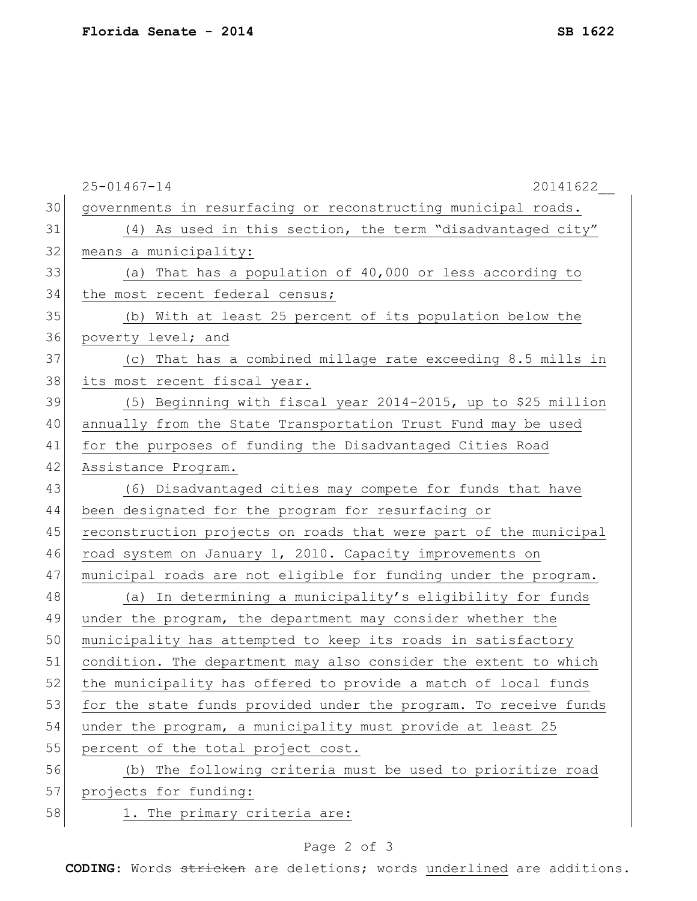|    | $25 - 01467 - 14$<br>20141622                                    |
|----|------------------------------------------------------------------|
| 30 | governments in resurfacing or reconstructing municipal roads.    |
| 31 | (4) As used in this section, the term "disadvantaged city"       |
| 32 | means a municipality:                                            |
| 33 | (a) That has a population of 40,000 or less according to         |
| 34 | the most recent federal census;                                  |
| 35 | (b) With at least 25 percent of its population below the         |
| 36 | poverty level; and                                               |
| 37 | (c) That has a combined millage rate exceeding 8.5 mills in      |
| 38 | its most recent fiscal year.                                     |
| 39 | (5) Beginning with fiscal year 2014-2015, up to \$25 million     |
| 40 | annually from the State Transportation Trust Fund may be used    |
| 41 | for the purposes of funding the Disadvantaged Cities Road        |
| 42 | Assistance Program.                                              |
| 43 | (6) Disadvantaged cities may compete for funds that have         |
| 44 | been designated for the program for resurfacing or               |
| 45 | reconstruction projects on roads that were part of the municipal |
| 46 | road system on January 1, 2010. Capacity improvements on         |
| 47 | municipal roads are not eligible for funding under the program.  |
| 48 | (a) In determining a municipality's eligibility for funds        |
| 49 | under the program, the department may consider whether the       |
| 50 | municipality has attempted to keep its roads in satisfactory     |
| 51 | condition. The department may also consider the extent to which  |
| 52 | the municipality has offered to provide a match of local funds   |
| 53 | for the state funds provided under the program. To receive funds |
| 54 | under the program, a municipality must provide at least 25       |
| 55 | percent of the total project cost.                               |
| 56 | (b) The following criteria must be used to prioritize road       |
| 57 | projects for funding:                                            |
| 58 | 1. The primary criteria are:                                     |

## Page 2 of 3

**CODING**: Words stricken are deletions; words underlined are additions.